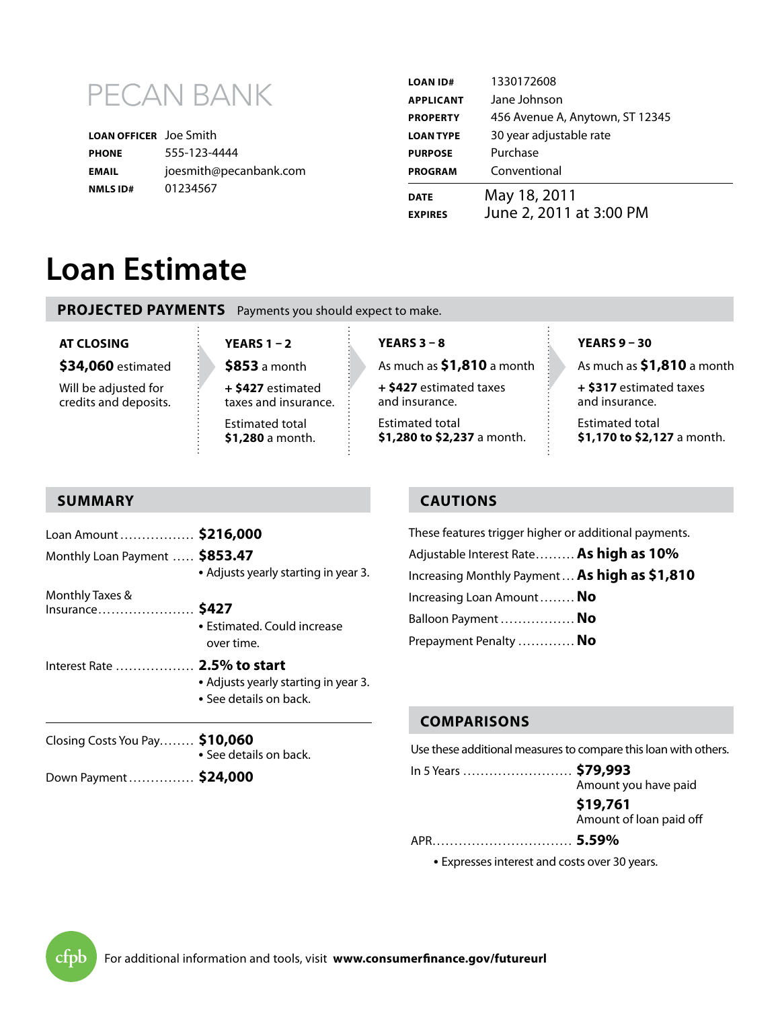

| <b>LOAN OFFICER</b> Joe Smith |                        |
|-------------------------------|------------------------|
| <b>PHONE</b>                  | 555-123-4444           |
| <b>EMAIL</b>                  | joesmith@pecanbank.com |
| <b>NMLS ID#</b>               | 01234567               |

| <b>LOAN ID#</b>  | 1330172608                      |
|------------------|---------------------------------|
| <b>APPLICANT</b> | Jane Johnson                    |
| <b>PROPERTY</b>  | 456 Avenue A, Anytown, ST 12345 |
| <b>LOAN TYPE</b> | 30 year adjustable rate         |
| <b>PURPOSE</b>   | Purchase                        |
| <b>PROGRAM</b>   | Conventional                    |
| <b>DATE</b>      | May 18, 2011                    |
| <b>EXPIRES</b>   | June 2, 2011 at 3:00 PM         |

# **Loan Estimate**

**PROJECTED PAYMENTS** Payments you should expect to make.

#### **At Closing**

**\$34,060** estimated

Will be adjusted for credits and deposits. **Years 1 – 2**

**\$853** a month **+ \$427** estimated

taxes and insurance. Estimated total **\$1,280** a month.

# **Years 3 – 8**

As much as **\$1,810** a month

**+ \$427** estimated taxes and insurance. Estimated total

**\$1,280 to \$2,237** a month.

**Years 9 – 30**

As much as **\$1,810** a month

**+ \$317** estimated taxes and insurance.

Estimated total **\$1,170 to \$2,127** a month.

# **summary**

| Loan Amount  \$216,000<br>Monthly Loan Payment  \$853.47 | • Adjusts yearly starting in year 3.                                   |  |
|----------------------------------------------------------|------------------------------------------------------------------------|--|
| Monthly Taxes &<br>Insurance \$427                       | • Estimated. Could increase<br>over time.                              |  |
| Interest Rate  2.5% to start                             | • Adjusts yearly starting in year 3.<br>$\bullet$ See details on back. |  |
| Closing Costs You Pay \$10,060                           | • See details on back.                                                 |  |
| Down Payment \$24,000                                    |                                                                        |  |

# **cautions**

These features trigger higher or additional payments. Adjustable Interest Rate......... **As high as 10%** Increasing Monthly Payment... **As high as \$1,810** Increasing Loan Amount........ **No**  Balloon Payment ................. **No** Prepayment Penalty ............. **No**

### **comparisonS**

Use these additional measures to compare this loan with others.

In 5 Years ......................... **\$79,993** Amount you have paid

> **\$19,761** Amount of loan paid off

APR................................ **5.59%**

**•** Expresses interest and costs over 30 years.